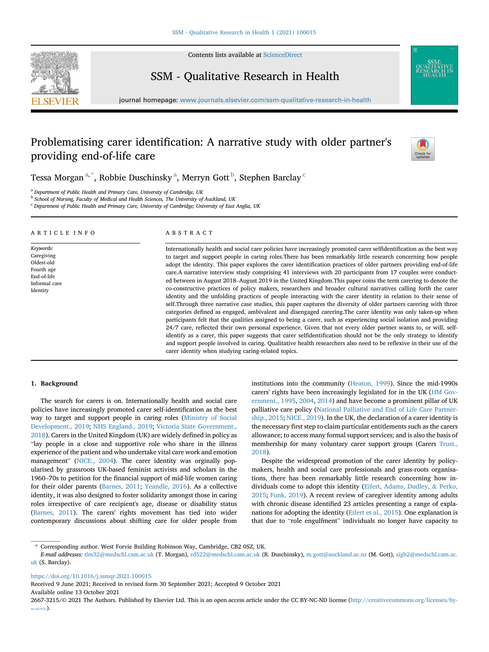

Contents lists available at [ScienceDirect](www.sciencedirect.com/science/journal/26673215)

# SSM - Qualitative Research in Health



# Problematising carer identification: A narrative study with older partner's providing end-of-life care



Tess[a](#page-0-0) Morgan $^{\mathrm{a},\ast},$  Ro[b](#page-0-2)bie Dus[c](#page-0-3)hinsky $^{\mathrm{a}},$  Merryn Gott $^{\mathrm{b}},$  Stephen Barclay  $^{\mathrm{c}}$ 

<span id="page-0-0"></span><sup>a</sup> Department of Public Health and Primary Care, University of Cambridge, UK

<span id="page-0-2"></span>**b School of Nursing, Faculty of Medical and Health Sciences, The University of Auckland, UK** 

<span id="page-0-3"></span><sup>c</sup> Department of Public Health and Primary Care, University of Cambridge; University of East Anglia, UK

#### ARTICLE INFO Keywords: Caregiving Oldest-old Fourth age End-of-life Informal care Identity ABSTRACT Internationally health and social care policies have increasingly promoted carer selfidentification as the best way to target and support people in caring roles.There has been remarkably little research concerning how people adopt the identity. This paper explores the carer identification practices of older partners providing end-of-life care.A narrative interview study comprising 41 interviews with 20 participants from 17 couples were conducted between in August 2018–August 2019 in the United Kingdom.This paper coins the term carering to denote the co-constructive practices of policy makers, researchers and broader cultural narratives calling forth the carer identity and the unfolding practices of people interacting with the carer identity in relation to their sense of self.Through three narrative case studies, this paper captures the diversity of older partners carering with three categories defined as engaged, ambivalent and disengaged carering.The carer identity was only taken-up when participants felt that the qualities assigned to being a carer, such as experiencing social isolation and providing 24/7 care, reflected their own personal experience. Given that not every older partner wants to, or will, selfidentify as a carer, this paper suggests that carer selfidentification should not be the only strategy to identify and support people involved in caring. Qualitative health researchers also need to be reflexive in their use of the

carer identity when studying caring-related topics.

#### 1. Background

The search for carers is on. Internationally health and social care policies have increasingly promoted carer self-identification as the best way to target and support people in caring roles [\(Ministry of Social](#page-7-0) [Development., 2019;](#page-7-0) [NHS England., 2019;](#page-7-1) [Victoria State Government.,](#page-8-0) [2018\)](#page-8-0). Carers in the United Kingdom (UK) are widely defined in policy as "lay people in a close and supportive role who share in the illness experience of the patient and who undertake vital care work and emotion management" ([NICE., 2004](#page-7-2)). The carer identity was orginally popularised by grassroots UK-based feminist activists and scholars in the 1960–70s to petition for the financial support of mid-life women caring for their older parents [\(Barnes, 2011;](#page-6-0) [Yeandle, 2016\)](#page-8-1). As a collective identity, it was also designed to foster solidarity amongst those in caring roles irrespective of care recipient's age, disease or disability status ([Barnes, 2011](#page-6-0)). The carers' rights movement has tied into wider contemporary discussions about shifting care for older people from

institutions into the community ([Heaton, 1999](#page-7-3)). Since the mid-1990s carers' rights have been increasingly legislated for in the UK ([HM Gov](#page-7-4)[ernment., 1995](#page-7-4), [2004](#page-7-5), [2014\)](#page-7-6) and have become a prominent pillar of UK palliative care policy ([National Palliative and End of Life Care Partner](#page-7-7)[ship., 2015](#page-7-7); [NICE., 2019](#page-7-8)). In the UK, the declaration of a carer identity is the necessary first step to claim particular entitlements such as the carers allowance; to access many formal support services; and is also the basis of membership for many voluntary carer support groups (Carers [Trust.,](#page-7-9) [2018\)](#page-7-9).

Despite the widespread promotion of the carer identity by policymakers, health and social care professionals and grass-roots organisations, there has been remarkably little research concerning how individuals come to adopt this identity ([Eifert, Adams, Dudley,](#page-7-10) & [Perko,](#page-7-10) [2015;](#page-7-10) [Funk, 2019\)](#page-7-11). A recent review of caregiver identity among adults with chronic disease identified 23 articles presenting a range of explanations for adopting the identity ([Eifert et al., 2015](#page-7-10)). One explanation is that due to "role engulfment" individuals no longer have capacity to

<https://doi.org/10.1016/j.ssmqr.2021.100015>

Received 9 June 2021; Received in revised form 30 September 2021; Accepted 9 October 2021

Available online 13 October 2021

<span id="page-0-1"></span><sup>\*</sup> Corresponding author. West Forvie Building Robinson Way, Cambridge, CB2 0SZ, UK.

E-mail addresses: [tlm32@medschl.cam.ac.uk](mailto:tlm32@medschl.cam.ac.uk) (T. Morgan), [rd522@medschl.cam.ac.uk](mailto:rd522@medschl.cam.ac.uk) (R. Duschinsky), [m.gott@auckland.ac.nz](mailto:m.gott@auckland.ac.nz) (M. Gott), [sigb2@medschl.cam.ac.](mailto:sigb2@medschl.cam.ac.uk) [uk](mailto:sigb2@medschl.cam.ac.uk) (S. Barclay).

<sup>2667-3215/</sup>© 2021 The Authors. Published by Elsevier Ltd. This is an open access article under the CC BY-NC-ND license [\(http://creativecommons.org/licenses/by](http://creativecommons.org/licenses/by-nc-nd/4.0/) $nc-nd/4.0/$ ).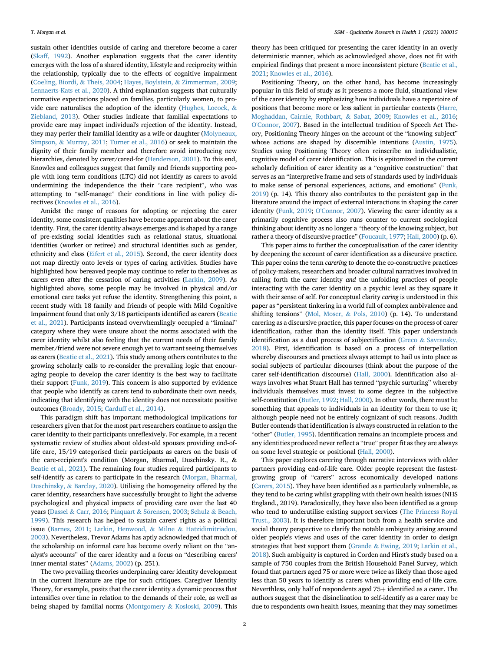sustain other identities outside of caring and therefore become a carer ([Skaff, 1992\)](#page-7-12). Another explanation suggests that the carer identity emerges with the loss of a shared identity, lifestyle and reciprocity within the relationship, typically due to the effects of cognitive impairment ([Coeling, Biordi,](#page-7-13) & [Theis, 2004;](#page-7-13) [Hayes, Boylstein,](#page-7-14) & [Zimmerman, 2009;](#page-7-14) [Lennaerts-Kats et al., 2020\)](#page-7-15). A third explanation suggests that culturally normative expectations placed on families, particularly women, to provide care naturalises the adoption of the identity [\(Hughes, Locock,](#page-7-16) & [Ziebland, 2013](#page-7-16)). Other studies indicate that familial expectations to provide care may impact individual's rejection of the identity. Instead, they may perfer their familial identity as a wife or daughter [\(Molyneaux,](#page-7-17) [Simpson,](#page-7-17) & [Murray, 2011](#page-7-17); [Turner et al., 2016\)](#page-7-18) or seek to maintain the dignity of their family member and therefore avoid introducing new hierarchies, denoted by carer/cared-for [\(Henderson, 2001\)](#page-7-19). To this end, Knowles and colleagues suggest that family and friends supporting people with long term conditions (LTC) did not identify as carers to avoid undermining the independence the their "care recipient", who was attempting to "self-manage" their conditions in line with policy directives ([Knowles et al., 2016](#page-7-20)).

Amidst the range of reasons for adopting or rejecting the carer identity, some consistent qualities have become apparent about the carer identity. First, the carer identity always emerges and is shaped by a range of pre-existing social identities such as relational status, situational identities (worker or retiree) and structural identities such as gender, ethnicity and class ([Eifert et al., 2015](#page-7-10)). Second, the carer identity does not map directly onto levels or types of caring activities. Studies have highlighted how bereaved people may continue to refer to themselves as carers even after the cessation of caring activities ([Larkin, 2009](#page-7-21)). As highlighted above, some people may be involved in physical and/or emotional care tasks yet refuse the identity. Strengthening this point, a recent study with 18 family and friends of people with Mild Cognitive Impairment found that only 3/18 participants identified as carers [\(Beatie](#page-7-22) [et al., 2021\)](#page-7-22). Participants instead overwhemlingly occupied a "liminal" category where they were unsure about the norms associated with the carer identity whilst also feeling that the current needs of their family member/friend were not severe enough yet to warrant seeing themselves as carers [\(Beatie et al., 2021](#page-7-22)). This study among others contributes to the growing scholarly calls to re-consider the prevailing logic that encouraging people to develop the carer identity is the best way to facilitate their support ([Funk, 2019](#page-7-11)). This concern is also supported by evidence that people who identify as carers tend to subordinate their own needs, indicating that identifying with the identity does not necessitate positive outcomes [\(Broady, 2015](#page-7-23); [Carduff et al., 2014](#page-7-24)).

This paradigm shift has important methodological implications for researchers given that for the most part researchers continue to assign the carer identity to their participants unreflexively. For example, in a recent systematic review of studies about oldest-old spouses providing end-oflife care, 15/19 categorised their participants as carers on the basis of the care-recipient's condition (Morgan, Bharmal, Duschinsky. R., & [Beatie et al., 2021\)](#page-7-22). The remaining four studies required participants to self-identify as carers to participate in the research [\(Morgan, Bharmal,](#page-7-25) [Duschinsky,](#page-7-25) & [Barclay, 2020\)](#page-7-25). Utilising the homogeneity offered by the carer identity, researchers have successfully brought to light the adverse psychological and physical impacts of providing care over the last 40 years ([Dassel](#page-7-26) & [Carr, 2016](#page-7-26); [Pinquart](#page-7-27) & Sörensen, 2003; [Schulz](#page-7-28) & [Beach,](#page-7-28) [1999\)](#page-7-28). This research has helped to sustain carers' rights as a political issue ([Barnes, 2011;](#page-6-0) [Larkin, Henwood,](#page-7-29) & [Milne](#page-7-30) & [Hatzidimitriadou,](#page-7-30) [2003\)](#page-7-30). Nevertheless, Trevor Adams has aptly acknowledged that much of the scholarship on informal care has become overly reliant on the "analyst's accounts" of the carer identity and a focus on "describing carers' inner mental states" [\(Adams, 2002](#page-6-1)) (p. 251).

The two prevailing theories underpinning carer identity development in the current literature are ripe for such critiques. Caregiver Identity Theory, for example, posits that the carer identity a dynamic process that intensifies over time in relation to the demands of their role, as well as being shaped by familial norms ([Montgomery](#page-7-31) & [Kosloski, 2009\)](#page-7-31). This

theory has been critiqued for presenting the carer identity in an overly deterministic manner, which as acknowledged above, does not fit with empirical findings that present a more inconsistent picture ([Beatie et al.,](#page-7-22) [2021;](#page-7-22) [Knowles et al., 2016\)](#page-7-20).

Positioning Theory, on the other hand, has become increasingly popular in this field of study as it presents a more fluid, situational view of the carer identity by emphasizing how individuals have a repertoire of positions that become more or less salient in particular contexts ([Harre,](#page-7-32) [Moghaddan, Cairnie, Rothbart,](#page-7-32) & [Sabat, 2009](#page-7-32); [Knowles et al., 2016;](#page-7-20) [O'Connor, 2007](#page-7-33)). Based in the intellectual tradition of Speech Act Theory, Positioning Theory hinges on the account of the "knowing subject" whose actions are shaped by discernible intentions [\(Austin, 1975\)](#page-6-2). Studies using Positioning Theory often reinscribe an individualistic, cognitive model of carer identification. This is epitomized in the current scholarly definition of carer identity as a "cognitive construction" that serves as an "interpretive frame and sets of standards used by individuals to make sense of personal experiences, actions, and emotions" [\(Funk,](#page-7-11) [2019\)](#page-7-11) (p. 14). This theory also contributes to the persistent gap in the literature around the impact of external interactions in shaping the carer identity [\(Funk, 2019;](#page-7-11) [O'Connor, 2007](#page-7-33)). Viewing the carer identity as a primarily cognitive process also runs counter to current sociological thinking about identity as no longer a "theory of the knowing subject, but rather a theory of discursive practice" [\(Foucault, 1977](#page-7-34); [Hall, 2000](#page-7-35)) (p. 6).

This paper aims to further the conceptualisation of the carer identity by deepening the account of carer identification as a discursive practice. This paper coins the term carering to denote the co-constructive practices of policy-makers, researchers and broader cultural narratives involved in calling forth the carer identity and the unfolding practices of people interacting with the carer identity on a psychic level as they square it with their sense of self. For conceptual clarity caring is understood in this paper as "persistent tinkering in a world full of complex ambivalence and shifting tensions" ([Mol, Moser,](#page-7-36) & [Pols, 2010\)](#page-7-36) (p. 14). To understand carering as a discursive practice, this paper focuses on the process of carer identification, rather than the identity itself. This paper understands identification as a dual process of subjectification [\(Greco](#page-7-37) & [Savransky,](#page-7-37) [2018\)](#page-7-37). First, identification is based on a process of interpellation whereby discourses and practices always attempt to hail us into place as social subjects of particular discourses (think about the purpose of the carer self-identification discourse) [\(Hall, 2000\)](#page-7-35). Identification also always involves what Stuart Hall has termed "psychic surturing" whereby individuals themselves must invest to some degree in the subjective self-constitution [\(Butler, 1992](#page-7-38); [Hall, 2000](#page-7-35)). In other words, there must be something that appeals to individuals in an identity for them to use it; although people need not be entirely cognizant of such reasons. Judith Butler contends that identification is always constructed in relation to the "other" [\(Butler, 1995](#page-7-39)). Identification remains an incomplete process and any identities produced never reflect a "true" proper fit as they are always on some level strategic or positional ([Hall, 2000](#page-7-35)).

This paper explores carering through narrative interviews with older partners providing end-of-life care. Older people represent the fastestgrowing group of "carers" across economically developed nations ([Carers, 2015\)](#page-7-40). They have been identified as a particularly vulnerable, as they tend to be caring whilst grappling with their own health issues (NHS England., 2019). Paradoxically, they have also been identified as a group who tend to underutilise existing support services [\(The Princess Royal](#page-7-41) [Trust., 2003\)](#page-7-41). It is therefore important both from a health service and social theory perspective to clarify the notable ambiguity arising around older people's views and uses of the carer identity in order to design strategies that best support them [\(Grande](#page-7-42) & [Ewing, 2019](#page-7-42); [Larkin et al.,](#page-7-29) [2018\)](#page-7-29). Such ambiguity is captured in Corden and Hirst's study based on a sample of 750 couples from the British Household Panel Survey, which found that partners aged 75 or more were twice as likely than those aged less than 50 years to identify as carers when providing end-of-life care. Neverthless, only half of respondents aged  $75+$  identified as a carer. The authors suggest that the disinclination to self-identify as a carer may be due to respondents own health issues, meaning that they may sometimes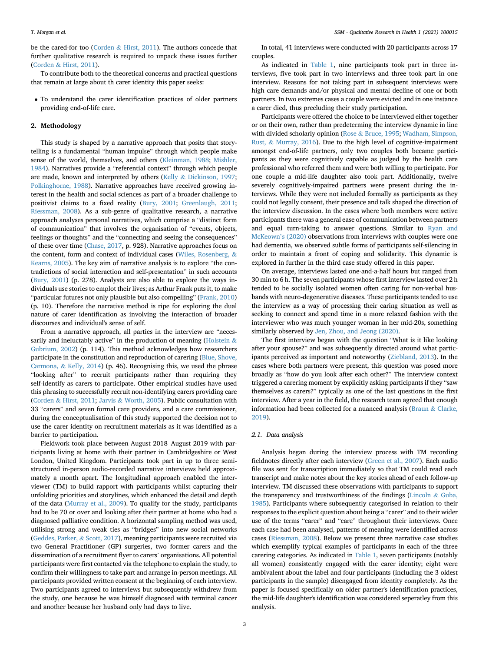be the cared-for too ([Corden](#page-7-43) & [Hirst, 2011\)](#page-7-43). The authors concede that further qualitative research is required to unpack these issues further ([Corden](#page-7-43) & [Hirst, 2011](#page-7-43)).

To contribute both to the theoretical concerns and practical questions that remain at large about th carer identity this paper seeks:

- To understand the carer identification practices of older partners providing end-of-life care.

### 2. Methodology

This study is shaped by a narrative approach that posits that storytelling is a fundamental "human impulse" through which people make sense of the world, themselves, and others [\(Kleinman, 1988;](#page-7-44) [Mishler,](#page-7-45) [1984\)](#page-7-45). Narratives provide a "referential context" through which people are made, known and interpreted by others [\(Kelly](#page-7-46) & [Dickinson, 1997;](#page-7-46) [Polkinghorne, 1988\)](#page-7-47). Narrative approaches have received growing interest in the health and social sciences as part of a broader challenge to positivist claims to a fixed reality [\(Bury, 2001;](#page-7-48) [Greenlaugh, 2011;](#page-7-49) [Riessman, 2008](#page-7-50)). As a sub-genre of qualitative research, a narrative approach analyses personal narratives, which comprise a "distinct form of communication" that involves the organisation of "events, objects, feelings or thoughts" and the "connecting and seeing the consequences" of these over time ([Chase, 2017,](#page-7-51) p. 928). Narrative approaches focus on the content, form and context of individual cases [\(Wiles, Rosenberg,](#page-8-2) & [Kearns, 2005\)](#page-8-2). The key aim of narrative analysis is to explore "the contradictions of social interaction and self-presentation" in such accounts ([Bury, 2001\)](#page-7-48) (p. 278). Analysts are also able to explore the ways individuals use stories to emplot their lives; as Arthur Frank puts it, to make "particular futures not only plausible but also compelling" ([Frank, 2010\)](#page-7-52) (p. 10). Therefore the narrative method is ripe for exploring the dual nature of carer identification as involving the interaction of broader discourses and individual's sense of self.

From a narrative approach, all parties in the interview are "neces-sarily and ineluctably active" in the production of meaning ([Holstein](#page-7-53)  $\&$ [Gubrium, 2002\)](#page-7-53) (p. 114). This method acknowledges how researchers participate in the constitution and reproduction of carering [\(Blue, Shove,](#page-7-54) [Carmona,](#page-7-54) & [Kelly, 2014](#page-7-54)) (p. 46). Recognising this, we used the phrase "looking after" to recruit participants rather than requiring they self-identify as carers to participate. Other empirical studies have used this phrasing to successfully recruit non-identifying carers providing care ([Corden](#page-7-43) & [Hirst, 2011](#page-7-43); [Jarvis](#page-7-55) & [Worth, 2005](#page-7-55)). Public consultation with 33 "carers" and seven formal care providers, and a care commissioner, during the conceptualisation of this study supported the decision not to use the carer identity on recruitment materials as it was identified as a barrier to participation.

Fieldwork took place between August 2018–August 2019 with participants living at home with their partner in Cambridgeshire or West London, United Kingdom. Participants took part in up to three semistructured in-person audio-recorded narrative interviews held approximately a month apart. The longitudinal approach enabled the interviewer (TM) to build rapport with participants whilst capturing their unfolding priorities and storylines, which enhanced the detail and depth of the data ([Murray et al., 2009\)](#page-7-56). To qualify for the study, participants had to be 70 or over and looking after their partner at home who had a diagnosed palliative condition. A horizontal sampling method was used, utilising strong and weak ties as "bridges" into new social networks ([Geddes, Parker,](#page-7-57) & [Scott, 2017\)](#page-7-57), meaning participants were recruited via two General Practitioner (GP) surgeries, two former carers and the dissemination of a recruitment flyer to carers' organisations. All potential participants were first contacted via the telephone to explain the study, to confirm their willingness to take part and arrange in-person meetings. All participants provided written consent at the beginning of each interview. Two participants agreed to interviews but subsequently withdrew from the study, one because he was himself diagnosed with terminal cancer and another because her husband only had days to live.

In total, 41 interviews were conducted with 20 participants across 17 couples.

As indicated in [Table 1](#page-3-0), nine participants took part in three interviews, five took part in two interviews and three took part in one interview. Reasons for not taking part in subsequent interviews were high care demands and/or physical and mental decline of one or both partners. In two extremes cases a couple were evicted and in one instance a carer died, thus precluding their study participation.

Participants were offered the choice to be interviewed either together or on their own, rather than predeterming the interview dynamic in line with divided scholarly opinion ([Rose](#page-7-58) & [Bruce, 1995;](#page-7-58) [Wadham, Simpson,](#page-8-3) [Rust,](#page-8-3) & [Murray, 2016](#page-8-3)). Due to the high level of cognitive-impairment amongst end-of-life partners, only two couples both became participants as they were cognitively capable as judged by the health care professional who referred them and were both willing to participate. For one couple a mid-life daughter also took part. Additionally, twelve severely cognitively-impaired partners were present during the interviews. While they were not included formally as participants as they could not legally consent, their presence and talk shaped the direction of the interview discussion. In the cases where both members were active participants there was a general ease of communication between partners and equal turn-taking to answer questions. Similar to [Ryan and](#page-7-59) [McKeown](#page-7-59)'s (2020) observations from interviews with couples were one had dementia, we observed subtle forms of participants self-silencing in order to maintain a front of coping and solidarity. This dynamic is explored in further in the third case study offered in this paper.

On average, interviews lasted one-and-a-half hours but ranged from 30 min to 6 h. The seven participants whose first interview lasted over 2 h tended to be socially isolated women often caring for non-verbal husbands with neuro-degenerative diseases. These participants tended to use the interview as a way of processing their caring situation as well as seeking to connect and spend time in a more relaxed fashion with the interviewer who was much younger woman in her mid-20s, something similarly observed by [Jen, Zhou, and Jeong \(2020\)](#page-7-60).

The first interview began with the question "What is it like looking after your spouse?" and was subsequently directed around what participants perceived as important and noteworthy ([Ziebland, 2013\)](#page-8-4). In the cases where both partners were present, this question was posed more broadly as "how do you look after each other?" The interview context triggered a carering moment by explicitly asking participants if they "saw themselves as carers?" typically as one of the last questions in the first interview. After a year in the field, the research team agreed that enough information had been collected for a nuanced analysis [\(Braun](#page-7-61) & [Clarke,](#page-7-61) [2019\)](#page-7-61).

#### 2.1. Data analysis

Analysis began during the interview process with TM recording fieldnotes directly after each interview ([Green et al., 2007](#page-7-62)). Each audio file was sent for transcription immediately so that TM could read each transcript and make notes about the key stories ahead of each follow-up interview. TM discussed these observations with participants to support the transparency and trustworthiness of the findings [\(Lincoln](#page-7-63) & [Guba,](#page-7-63) [1985\)](#page-7-63). Participants where subsequently categorised in relation to their responses to the explicit question about being a "carer" and to their wider use of the terms "carer" and "care" throughout their interviews. Once each case had been analysed, patterns of meaning were identified across cases [\(Riessman, 2008](#page-7-50)). Below we present three narrative case studies which exemplify typical examples of participants in each of the three carering categories. As indicated in [Table 1](#page-3-0), seven participants (notably all women) consistently engaged with the carer identity; eight were ambivalent about the label and four participants (including the 3 oldest participants in the sample) disengaged from identity completely. As the paper is focused specifically on older partner's identification practices, the mid-life daughter's identification was considered seperatley from this analysis.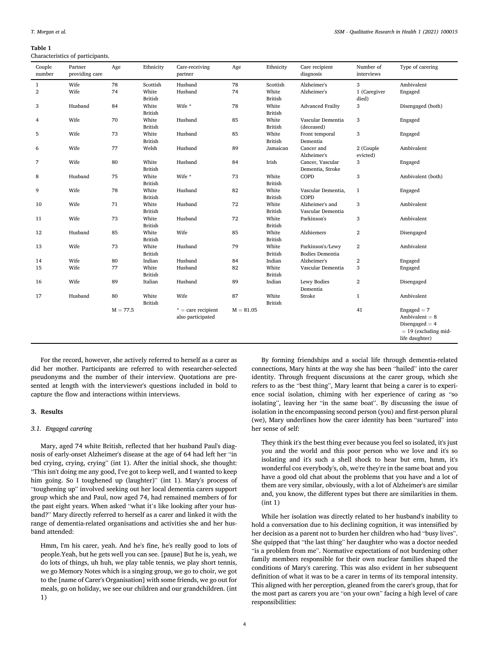<span id="page-3-0"></span>Table 1

Characteristics of participants.

| Couple<br>number | Partner<br>providing care | Age        | Ethnicity               | Care-receiving<br>partner                 | Age         | Ethnicity               | Care recipient<br>diagnosis                | Number of<br>interviews | Type of carering                                                                                  |
|------------------|---------------------------|------------|-------------------------|-------------------------------------------|-------------|-------------------------|--------------------------------------------|-------------------------|---------------------------------------------------------------------------------------------------|
| $\mathbf{1}$     | Wife                      | 78         | Scottish                | Husband                                   | 78          | Scottish                | Alzheimer's                                | 3                       | Ambivalent                                                                                        |
| $\,2$            | Wife                      | 74         | White<br><b>British</b> | Husband                                   | 74          | White<br><b>British</b> | Alzheimer's                                | 1 (Caregiver<br>died)   | Engaged                                                                                           |
| 3                | Husband                   | 84         | White<br><b>British</b> | Wife *                                    | 78          | White<br><b>British</b> | <b>Advanced Frailty</b>                    | 3                       | Disengaged (both)                                                                                 |
| 4                | Wife                      | 70         | White<br><b>British</b> | Husband                                   | 85          | White<br><b>British</b> | Vascular Dementia<br>(deceased)            | 3                       | Engaged                                                                                           |
| 5                | Wife                      | 73         | White<br><b>British</b> | Husband                                   | 85          | White<br><b>British</b> | Front temporal<br>Dementia                 | 3                       | Engaged                                                                                           |
| 6                | Wife                      | 77         | Welsh                   | Husband                                   | 89          | Jamaican                | Cancer and<br>Alzheimer's                  | 2 (Couple<br>evicted)   | Ambivalent                                                                                        |
| $\overline{7}$   | Wife                      | 80         | White<br><b>British</b> | Husband                                   | 84          | Irish                   | Cancer, Vascular<br>Dementia, Stroke       | 3                       | Engaged                                                                                           |
| 8                | Husband                   | 75         | White<br><b>British</b> | Wife *                                    | 73          | White<br><b>British</b> | COPD                                       | 3                       | Ambivalent (both)                                                                                 |
| 9                | Wife                      | 78         | White<br><b>British</b> | Husband                                   | 82          | White<br><b>British</b> | Vascular Dementia,<br>COPD                 | $\mathbf{1}$            | Engaged                                                                                           |
| 10               | Wife                      | 71         | White<br><b>British</b> | Husband                                   | 72          | White<br><b>British</b> | Alzheimer's and<br>Vascular Dementia       | 3                       | Ambivalent                                                                                        |
| 11               | Wife                      | 73         | White<br><b>British</b> | Husband                                   | 72          | White<br><b>British</b> | Parkinson's                                | 3                       | Ambivalent                                                                                        |
| 12               | Husband                   | 85         | White<br><b>British</b> | Wife                                      | 85          | White<br><b>British</b> | Alzhiemers                                 | $\overline{2}$          | Disengaged                                                                                        |
| 13               | Wife                      | 73         | White<br><b>British</b> | Husband                                   | 79          | White<br><b>British</b> | Parkinson's/Lewy<br><b>Bodies Dementia</b> | $\overline{2}$          | Ambivalent                                                                                        |
| 14               | Wife                      | 80         | Indian                  | Husband                                   | 84          | Indian                  | Alzheimer's                                | 2                       | Engaged                                                                                           |
| 15               | Wife                      | 77         | White<br><b>British</b> | Husband                                   | 82          | White<br><b>British</b> | Vascular Dementia                          | 3                       | Engaged                                                                                           |
| 16               | Wife                      | 89         | Italian                 | Husband                                   | 89          | Indian                  | Lewy Bodies<br>Dementia                    | $\overline{2}$          | Disengaged                                                                                        |
| 17               | Husband                   | 80         | White<br><b>British</b> | Wife                                      | 87          | White<br><b>British</b> | Stroke                                     | $\mathbf{1}$            | Ambivalent                                                                                        |
|                  |                           | $M = 77.5$ |                         | $*$ = care recipient<br>also participated | $M = 81.05$ |                         |                                            | 41                      | $Engaged = 7$<br>Ambivalent = $8$<br>Disengaged $=$ 4<br>$= 19$ (excluding mid-<br>life daughter) |

For the record, however, she actively referred to herself as a carer as did her mother. Participants are referred to with researcher-selected pseudonyms and the number of their interview. Quotations are presented at length with the interviewer's questions included in bold to capture the flow and interactions within interviews.

#### 3. Results

#### 3.1. Engaged carering

Mary, aged 74 white British, reflected that her husband Paul's diagnosis of early-onset Alzheimer's disease at the age of 64 had left her "in bed crying, crying, crying" (int 1). After the initial shock, she thought: "This isn't doing me any good, I've got to keep well, and I wanted to keep him going. So I toughened up (laughter)" (int 1). Mary's process of "toughening up" involved seeking out her local dementia carers support group which she and Paul, now aged 74, had remained members of for the past eight years. When asked "what it's like looking after your husband?" Mary directly referred to herself as a carer and linked it with the range of dementia-related organisations and activities she and her husband attended:

Hmm, I'm his carer, yeah. And he's fine, he's really good to lots of people.Yeah, but he gets well you can see. [pause] But he is, yeah, we do lots of things, uh huh, we play table tennis, we play short tennis, we go Memory Notes which is a singing group, we go to choir, we got to the [name of Carer's Organisation] with some friends, we go out for meals, go on holiday, we see our children and our grandchildren. (int 1)

By forming friendships and a social life through dementia-related connections, Mary hints at the way she has been "hailed" into the carer identity. Through frequent discussions at the carer group, which she refers to as the "best thing", Mary learnt that being a carer is to experience social isolation, chiming with her experience of caring as "so isolating", leaving her "in the same boat". By discussing the issue of isolation in the encompassing second person (you) and first-person plural (we), Mary underlines how the carer identity has been "surtured" into her sense of self:

They think it's the best thing ever because you feel so isolated, it's just you and the world and this poor person who we love and it's so isolating and it's such a shell shock to hear but erm, hmm, it's wonderful cos everybody's, oh, we're they're in the same boat and you have a good old chat about the problems that you have and a lot of them are very similar, obviously, with a lot of Alzheimer's are similar and, you know, the different types but there are similarities in them. (int 1)

While her isolation was directly related to her husband's inability to hold a conversation due to his declining cognition, it was intensified by her decision as a parent not to burden her children who had "busy lives". She quipped that "the last thing" her daughter who was a doctor needed "is a problem from me". Normative expectations of not burdening other family members responsible for their own nuclear families shaped the conditions of Mary's carering. This was also evident in her subsequent definition of what it was to be a carer in terms of its temporal intensity. This aligned with her perception, gleaned from the carer's group, that for the most part as carers you are "on your own" facing a high level of care responsibilities: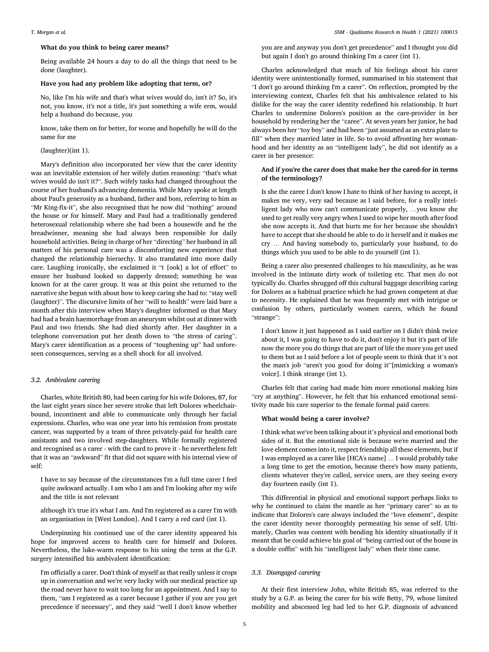#### What do you think to being carer means?

Being available 24 hours a day to do all the things that need to be done (laughter).

#### Have you had any problem like adopting that term, or?

No, like I'm his wife and that's what wives would do, isn't it? So, it's not, you know, it's not a title, it's just something a wife erm, would help a husband do because, you

know, take them on for better, for worse and hopefully he will do the same for me

#### (laughter)(int 1).

Mary's definition also incorporated her view that the carer identity was an inevitable extension of her wifely duties reasoning: "that's what wives would do isn't it?". Such wifely tasks had changed throughout the course of her husband's advancing dementia. While Mary spoke at length about Paul's generosity as a husband, father and boss, referring to him as "Mr King-fix-it", she also recognised that he now did "nothing" around the house or for himself. Mary and Paul had a traditionally gendered heterosexual relationship where she had been a housewife and he the breadwinner, meaning she had always been responsible for daily household activities. Being in charge of her "directing" her husband in all matters of his personal care was a discomforting new experience that changed the relationship hierarchy. It also translated into more daily care. Laughing ironically, she exclaimed it "t [ook] a lot of effort" to ensure her husband looked so dapperly dressed; something he was known for at the carer group. It was at this point she returned to the narrative she begun with about how to keep caring she had to: "stay well (laughter)". The discursive limits of her "will to health" were laid bare a month after this interview when Mary's daughter informed us that Mary had had a brain haemorrhage from an aneurysm whilst out at dinner with Paul and two friends. She had died shortly after. Her daughter in a telephone conversation put her death down to "the stress of caring". Mary's carer identification as a process of "toughening up" had unforeseen consequences, serving as a shell shock for all involved.

#### 3.2. Ambivalent carering

Charles, white British 80, had been caring for his wife Dolores, 87, for the last eight years since her severe stroke that left Dolores wheelchairbound, incontinent and able to communicate only through her facial expressions. Charles, who was one year into his remission from prostate cancer, was supported by a team of three privately-paid for health care assistants and two involved step-daughters. While formally registered and recognised as a carer - with the card to prove it - he nevertheless felt that it was an "awkward" fit that did not square with his internal view of self:

I have to say because of the circumstances I'm a full time carer I feel quite awkward actually. I am who I am and I'm looking after my wife and the title is not relevant

although it's true it's what I am. And I'm registered as a carer I'm with an organisation in [West London]. And I carry a red card (int 1).

Underpinning his continued use of the carer identity appeared his hope for improved access to health care for himself and Dolores. Nevertheless, the luke-warm response to his using the term at the G.P. surgery intensified his ambivalent identification:

I'm officially a carer. Don't think of myself as that really unless it crops up in conversation and we're very lucky with our medical practice up the road never have to wait too long for an appointment. And I say to them, "am I registered as a carer because I gather if you are you get precedence if necessary", and they said "well I don't know whether you are and anyway you don't get precedence" and I thought you did but again I don't go around thinking I'm a carer (int 1).

Charles acknowledged that much of his feelings about his carer identity were unintentionally formed, summarised in his statement that "I don't go around thinking I'm a carer". On reflection, prompted by the interviewing context, Charles felt that his ambivalence related to his dislike for the way the carer identity redefined his relationship. It hurt Charles to undermine Dolores's position as the care-provider in her household by rendering her the "caree". At seven years her junior, he had always been her "toy boy" and had been "just assumed as an extra plate to fill" when they married later in life. So to avoid affronting her womanhood and her identity as an "intelligent lady", he did not identify as a carer in her presence:

### And if you're the carer does that make her the cared-for in terms of the terminology?

Is she the caree I don't know I hate to think of her having to accept, it makes me very, very sad because as I said before, for a really intelligent lady who now can't communicate properly, …you know she used to get really very angry when I used to wipe her mouth after food she now accepts it. And that hurts me for her because she shouldn't have to accept that she should be able to do it herself and it makes me cry … And having somebody to, particularly your husband, to do things which you used to be able to do yourself (int 1).

Being a carer also presented challenges to his masculinity, as he was involved in the intimate dirty work of toileting etc. That men do not typically do. Charles shrugged off this cultural baggage describing caring for Dolores as a habitual practice which he had grown competent at due to necessity. He explained that he was frequently met with intrigue or confusion by others, particularly women carers, which he found "strange":

I don't know it just happened as I said earlier on I didn't think twice about it, I was going to have to do it, don't enjoy it but it's part of life now the more you do things that are part of life the more you get used to them but as I said before a lot of people seem to think that it's not the man's job "aren't you good for doing it"[mimicking a woman's voice]. I think strange (int 1).

Charles felt that caring had made him more emotional making him "cry at anything". However, he felt that his enhanced emotional sensitivity made his care superior to the female formal paid carers:

#### What would being a carer involve?

I think what we've been talking about it's physical and emotional both sides of it. But the emotional side is because we're married and the love element comes into it, respect friendship all these elements, but if I was employed as a carer like [HCA's name] … I would probably take a long time to get the emotion, because there's how many patients, clients whatever they're called, service users, are they seeing every day fourteen easily (int 1).

This differential in physical and emotional support perhaps links to why he continued to claim the mantle as her "primary carer" so as to indicate that Dolores's care always included the "love element", despite the carer identity never thoroughly permeating his sense of self. Ultimately, Charles was content with bending his identity situationally if it meant that he could achieve his goal of "being carried out of the house in a double coffin" with his "intelligent lady" when their time came.

#### 3.3. Disengaged carering

At their first interview John, white British 85, was referred to the study by a G.P. as being the carer for his wife Betty, 79, whose limited mobility and abscessed leg had led to her G.P. diagnosis of advanced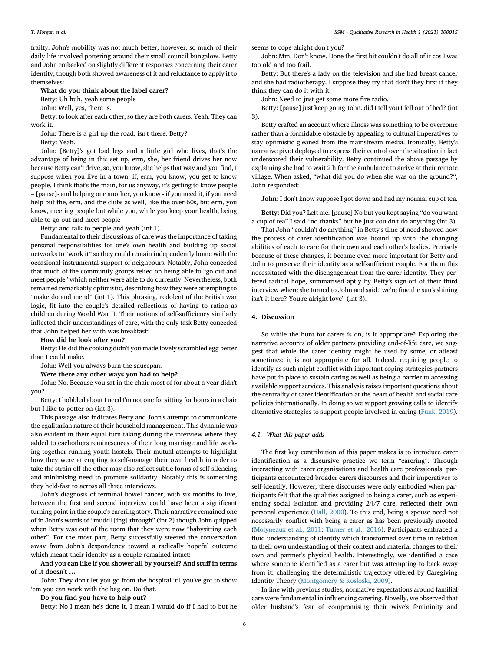frailty. John's mobility was not much better, however, so much of their daily life involved pottering around their small council bungalow. Betty and John embarked on slightly different responses concerning their carer identity, though both showed awareness of it and reluctance to apply it to themselves:

#### What do you think about the label carer?

Betty: Uh huh, yeah some people –

John: Well, yes, there is.

Betty: to look after each other, so they are both carers. Yeah. They can work it.

John: There is a girl up the road, isn't there, Betty?

Betty: Yeah.

John: [Betty]'s got bad legs and a little girl who lives, that's the advantage of being in this set up, erm, she, her friend drives her now because Betty can't drive, so, you know, she helps that way and you find, I suppose when you live in a town, if, erm, you know, you get to know people, I think that's the main, for us anyway, it's getting to know people – [pause]- and helping one another, you know - if you need it, if you need help but the, erm, and the clubs as well, like the over-60s, but erm, you know, meeting people but while you, while you keep your health, being able to go out and meet people -

Betty: and talk to people and yeah (int 1).

Fundamental to their discussions of care was the importance of taking personal responsibilities for one's own health and building up social networks to "work it" so they could remain independently home with the occasional instrumental support of neighbours. Notably, John conceded that much of the community groups relied on being able to "go out and meet people" which neither were able to do currently. Nevertheless, both remained remarkably optimistic, describing how they were attempting to "make do and mend" (int 1). This phrasing, redolent of the British war logic, fit into the couple's detailed reflections of having to ration as children during World War II. Their notions of self-sufficiency similarly inflected their understandings of care, with the only task Betty conceded that John helped her with was breakfast:

How did he look after you?

Betty: He did the cooking didn't you made lovely scrambled egg better than I could make.

John: Well you always burn the saucepan.

Were there any other ways you had to help?

John: No. Because you sat in the chair most of for about a year didn't you?

Betty: I hobbled about I need I'm not one for sitting for hours in a chair but I like to potter on (int 3).

This passage also indicates Betty and John's attempt to communicate the egalitarian nature of their household management. This dynamic was also evident in their equal turn taking during the interview where they added to eachothers reminesences of their long marriage and life working together running youth hostels. Their mutual attempts to highlight how they were attempting to self-manage their own health in order to take the strain off the other may also reflect subtle forms of self-silencing and minimising need to promote solidarity. Notably this is something they held-fast to across all three interviews.

John's diagnosis of terminal bowel cancer, with six months to live, between the first and second interview could have been a significant turning point in the couple's carering story. Their narrative remained one of in John's words of "muddl [ing] through" (int 2) though John quipped when Betty was out of the room that they were now "babysitting each other". For the most part, Betty successfully steered the conversation away from John's despondency toward a radically hopeful outcome which meant their identity as a couple remained intact:

And you can like if you shower all by yourself? And stuff in terms of it doesn't …

John: They don't let you go from the hospital 'til you've got to show 'em you can work with the bag on. Do that.

Do you find you have to help out?

Betty: No I mean he's done it, I mean I would do if I had to but he

seems to cope alright don't you?

John: Mm. Don't know. Done the first bit couldn't do all of it cos I was too old and too frail.

Betty: But there's a lady on the television and she had breast cancer and she had radiotherapy. I suppose they try that don't they first if they think they can do it with it.

John: Need to just get some more fire radio.

Betty: [pause] just keep going John. did I tell you I fell out of bed? (int 3).

Betty crafted an account where illness was something to be overcome rather than a formidable obstacle by appealing to cultural imperatives to stay optimistic gleaned from the mainstream media. Ironically, Betty's narrative pivot deployed to express their control over the situation in fact underscored their vulnerability. Betty continued the above passage by explaining she had to wait 2 h for the ambulance to arrive at their remote village. When asked, "what did you do when she was on the ground?", John responded:

John: I don't know suppose I got down and had my normal cup of tea.

Betty: Did you? Left me. [pause] No but you kept saying "do you want a cup of tea" I said "no thanks" but he just couldn't do anything (int 3).

That John "couldn't do anything" in Betty's time of need showed how the process of carer identification was bound up with the changing abilities of each to care for their own and each other's bodies. Precisely because of these changes, it became even more important for Betty and John to preserve their identity as a self-sufficient couple. For them this necessitated with the disengagement from the carer identity. They perfered radical hope, summarised aptly by Betty's sign-off of their third interview where she turned to John and said:"we're fine the sun's shining isn't it here? You're alright love" (int 3).

#### 4. Discussion

So while the hunt for carers is on, is it appropriate? Exploring the narrative accounts of older partners providing end-of-life care, we suggest that while the carer identity might be used by some, or atleast sometimes; it is not appropriate for all. Indeed, requiring people to identify as such might conflict with important coping strategies partners have put in place to sustain caring as well as being a barrier to accessing available support services. This analysis raises important questions about the centrality of carer identification at the heart of health and social care policies internationally. In doing so we support growing calls to identify alternative strategies to support people involved in caring ([Funk, 2019\)](#page-7-11).

### 4.1. What this paper adds

The first key contribution of this paper makes is to introduce carer identification as a discursive practice we term "carering". Through interacting with carer organisations and health care professionals, participants encountered broader carers discourses and their imperatives to self-identify. However, these discourses were only embodied when participants felt that the qualities assigned to being a carer, such as experiencing social isolation and providing 24/7 care, reflected their own personal experience [\(Hall, 2000](#page-7-35)). To this end, being a spouse need not necessarily conflict with being a carer as has been previously mooted ([Molyneaux et al., 2011;](#page-7-17) [Turner et al., 2016](#page-7-18)). Participants embraced a fluid understanding of identity which transformed over time in relation to their own understanding of their context and material changes to their own and partner's physical health. Interestingly, we identified a case where someone identified as a carer but was attempting to back away from it: challenging the deterministic trajectory offered by Caregiving Identity Theory [\(Montgomery](#page-7-31) & [Kosloski, 2009](#page-7-31)).

In line with previous studies, normative expectations around familial care were fundamental in influencing carering. Novelly, we observed that older husband's fear of compromising their wive's femininity and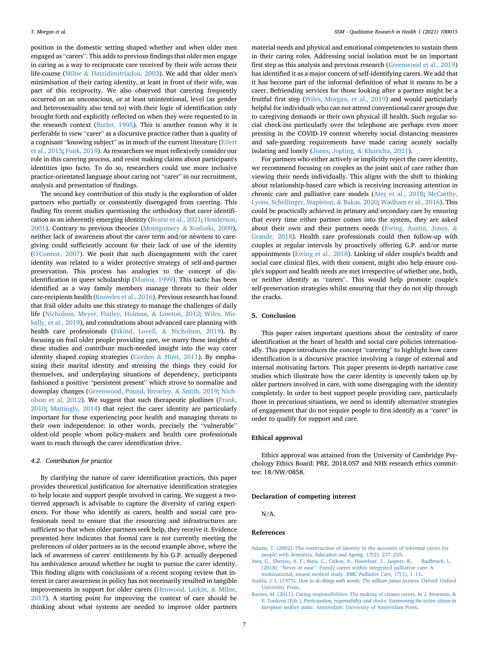position in the domestic setting shaped whether and when older men engaged as "carers". This adds to previous findings that older men engage in caring as a way to reciprocate care received by their wife across their life-course ([Milne](#page-7-30) & [Hatzidimitriadou, 2003](#page-7-30)). We add that older men's minimisation of their caring identity, at least in front of their wife, was part of this reciprocity. We also observed that carering frequently occurred on an unconscious, or at least unintentional, level (as gender and heterosexuality also tend to) with their logic of identification only brought forth and explicitly reflected on when they were requested to in the research context [\(Butler, 1995](#page-7-39)). This is another reason why it is perferable to view "carer" as a discursive practice rather than a quality of a cognisant "knowing subject" as in much of the current literature ([Eifert](#page-7-10) [et al., 2015](#page-7-10); [Funk, 2019](#page-7-11)). As researchers we must reflexively consider our role in this carering process, and resist making claims about participant's identities ipso facto. To do so, researchers could use more inclusive practice-orientated language about caring not "carer" in our recruitment, analysis and presentation of findings.

The second key contribution of this study is the exploration of older partners who partially or consistently disengaged from carering. This finding fits recent studies questioning the orthodoxy that carer identification as an inherently emerging identity [\(Beatie et al., 2021](#page-7-22); [Henderson,](#page-7-19) [2001\)](#page-7-19). Contrary to previous theories ([Montgomery](#page-7-31) & [Kosloski, 2009\)](#page-7-31), neither lack of awareness about the carer term and/or newness to caregiving could sufficiently account for their lack of use of the identity ([O'Connor, 2007](#page-7-33)). We posit that such disengagement with the carer identity was related to a wider protective strategy of self-and-partner preservation. This process has analogies to the concept of disidentification in queer scholarship [\(Munoz, 1999\)](#page-7-64). This tactic has been identified as a way family members manage threats to their older care-recipients health ([Knowles et al., 2016\)](#page-7-20). Previous research has found that frail older adults use this strategy to manage the challenges of daily life [\(Nicholson, Meyer, Flatley, Holman,](#page-7-65) & [Lowton, 2012;](#page-7-65) [Wiles, Mis](#page-8-5)[kelly, et al., 2019](#page-8-5)), and consultations about advanced care planning with health care professionals [\(Etkind, Lovell,](#page-7-66) & [Nicholson, 2019](#page-7-66)). By focusing on frail older people providing care, we marry these insights of these studies and contribute much-needed insight into the way carer identity shaped coping strategies [\(Corden](#page-7-43) & [Hirst, 2011\)](#page-7-43). By emphasizing their marital identity and stressing the things they could for themselves, and underplaying situations of dependency, participants fashioned a positive "persistent present" which strove to normalise and downplay changes ([Greenwood, Pound, Brearley,](#page-7-67) & [Smith, 2019](#page-7-67); [Nich](#page-7-65)[olson et al, 2012](#page-7-65)). We suggest that such therapeutic plotlines ([Frank,](#page-7-52) [2010;](#page-7-52) [Mattingly, 2014\)](#page-7-68) that reject the carer identity are particularly important for those experiencing poor health and managing threats to their own independence: in other words, precisely the "vulnerable" oldest-old people whom policy-makers and health care professionals want to reach through the carer identification drive.

#### 4.2. Contribution for practice

By clarifying the nature of carer identification practices, this paper provides theoretical justification for alternative identification strategies to help locate and support people involved in caring. We suggest a twotierred approach is advisable to capture the diversity of caring experiences. For those who identify as carers, health and social care professionals need to ensure that the resourcing and infrastructures are sufficient so that when older partners seek help, they receive it. Evidence presented here indicates that formal care is not currently meeting the preferences of older partners as in the second example above, where the lack of awareness of carers' entitlements by his G.P. actually deepened his ambivalence around whether he ought to pursue the carer identity. This finding aligns with conclusions of a recent scoping review that interest in carer awareness in policy has not necessarily resulted in tangible improvements in support for older carers ([Henwood, Larkin,](#page-7-69) & [Milne,](#page-7-69) [2017\)](#page-7-69). A starting point for improving the context of care should be thinking about what systems are needed to improve older partners

material needs and physical and emotional competencies to sustain them in their caring roles. Addressing social isolation must be an important first step as this analysis and previous research [\(Greenwood et al., 2019\)](#page-7-67) has identified it as a major concern of self-identifying carers. We add that it has become part of the informal definition of what it means to be a carer. Befriending services for those looking after a partner might be a fruitful first step ([Wiles, Morgan, et al., 2019\)](#page-8-6) and would particularly helpful for individuals who can not attend conventional carer groups due to caregiving demands or their own physical ill health. Such regular social check-ins particularly over the telephone are perhaps even more pressing in the COVID-19 context whereby social distancing measures and safe-guarding requirements have made caring acutely socially isolating and lonely ([Jones, Jopling,](#page-7-70) & [Kharicha, 2021\)](#page-7-70).

For partners who either actively or implicitly reject the carer identity, we recommend focusing on couples as the joint unit of care rather than viewing their needs individually. This aligns with the shift to thinking about relationship-based care which is receiving increasing attention in chronic care and palliative care models ([Ate](#page-6-3)s¸ [et al., 2018;](#page-6-3) [McCarthy,](#page-7-71) [Lyons, Schellinger, Stapleton,](#page-7-71) & [Bakas, 2020](#page-7-71); [Wadham et al., 2016\)](#page-8-3). This could be practically achieved in primary and secondary care by ensuring that every time either partner comes into the system, they are asked about their own and their partners needs ([Ewing, Austin, Jones,](#page-7-72) & [Grande, 2018](#page-7-72)). Health care professionals could then follow-up with couples at regular intervals by proactively offering G.P. and/or nurse appointments ([Ewing et al., 2018\)](#page-7-72). Linking of older couple's health and social care clinical files, with their consent, might also help ensure couple's support and health needs are met irrespective of whether one, both, or neither identify as "carers". This would help promote couple's self-preservation strategies whilst ensuring that they do not slip through the cracks.

#### 5. Conclusion

This paper raises important questions about the centrality of carer identification at the heart of health and social care policies internationally. This paper introduces the concept "carering" to highlight how carer identification is a discursive practice involving a range of external and internal motivating factors. This paper presents in-depth narrative case studies which illustrate how the carer identity is unevenly taken up by older partners involved in care, with some disengaging with the identity completely. In order to best support people providing care, particularly those in precarious situations, we need to identify alternative strategies of engagement that do not require people to first identify as a "carer" in order to qualify for support and care.

## Ethical approval

Ethics approval was attained from the University of Cambridge Psychology Ethics Board: PRE. 2018.057 and NHS research ethics committee: 18/NW/0858.

#### Declaration of competing interest

N/A.

#### <span id="page-6-1"></span>References

- <span id="page-6-3"></span>[Adams, T. \(2002\). The construction of identity in the accounts of informal carers for](http://refhub.elsevier.com/S2667-3215(21)00015-9/sref1) people with dementia. [Education and Ageing, 17](http://refhub.elsevier.com/S2667-3215(21)00015-9/sref1)(2), 237–[255.](http://refhub.elsevier.com/S2667-3215(21)00015-9/sref1)
- <span id="page-6-2"></span>[Ate](http://refhub.elsevier.com/S2667-3215(21)00015-9/sref2)ş[, G., Ebenau, A. F., Busa, C., Csikos, A., Hasselaar, J., Jaspers, B.,](http://refhub.elsevier.com/S2667-3215(21)00015-9/sref2) ... Radbruch, L. (2018). "Never at ease"[: Family carers within integrated palliative care: A](http://refhub.elsevier.com/S2667-3215(21)00015-9/sref2) [multinational, mixed method study.](http://refhub.elsevier.com/S2667-3215(21)00015-9/sref2) BMC Palliative Care, 17(1), 1–[11](http://refhub.elsevier.com/S2667-3215(21)00015-9/sref2).
- <span id="page-6-0"></span>Austin, J. L. (1975). [How to do things with words: The william james lectures](http://refhub.elsevier.com/S2667-3215(21)00015-9/sref3). Oxford: Oxford [University Press.](http://refhub.elsevier.com/S2667-3215(21)00015-9/sref3)
- [Barnes, M. \(2011\). Caring responsibilities: The making of citizen carers. In J. Newman, &](http://refhub.elsevier.com/S2667-3215(21)00015-9/sref4) E. Tonkens (Eds.), [Participation, responsibility and choice. Summoning the active citizen in](http://refhub.elsevier.com/S2667-3215(21)00015-9/sref4) European welfare states[. Amsterdam: University of Amsterdam Press](http://refhub.elsevier.com/S2667-3215(21)00015-9/sref4).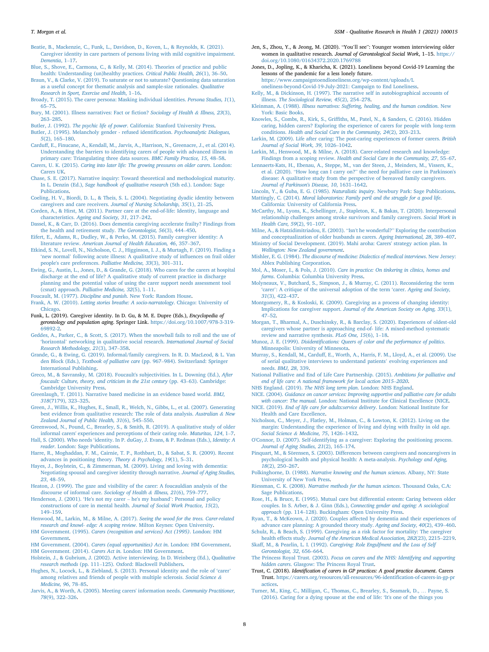- <span id="page-7-22"></span>[Beatie, B., Mackenzie, C., Funk, L., Davidson, D., Koven, L., & Reynolds, K. \(2021\).](http://refhub.elsevier.com/S2667-3215(21)00015-9/sref5) [Caregiver identity in care partners of persons living with mild cognitive impairment.](http://refhub.elsevier.com/S2667-3215(21)00015-9/sref5) [Dementia](http://refhub.elsevier.com/S2667-3215(21)00015-9/sref5), 1–[17](http://refhub.elsevier.com/S2667-3215(21)00015-9/sref5).
- <span id="page-7-54"></span>[Blue, S., Shove, E., Carmona, C., & Kelly, M. \(2014\). Theories of practice and public](http://refhub.elsevier.com/S2667-3215(21)00015-9/sref6) [health: Understanding \(un\)healthy practices.](http://refhub.elsevier.com/S2667-3215(21)00015-9/sref6) Critical Public Health, 26(1), 36-[50.](http://refhub.elsevier.com/S2667-3215(21)00015-9/sref6)
- <span id="page-7-61"></span>[Braun, V., & Clarke, V. \(2019\). To saturate or not to saturate? Questioning data saturation](http://refhub.elsevier.com/S2667-3215(21)00015-9/sref7) [as a useful concept for thematic analysis and sample-size rationales.](http://refhub.elsevier.com/S2667-3215(21)00015-9/sref7) Qualitative [Research in Sport, Exercise and Health](http://refhub.elsevier.com/S2667-3215(21)00015-9/sref7), 1–[16.](http://refhub.elsevier.com/S2667-3215(21)00015-9/sref7)
- <span id="page-7-23"></span>[Broady, T. \(2015\). The carer persona: Masking individual identities.](http://refhub.elsevier.com/S2667-3215(21)00015-9/sref8) Persona Studies, 1(1), [65](http://refhub.elsevier.com/S2667-3215(21)00015-9/sref8)–[75](http://refhub.elsevier.com/S2667-3215(21)00015-9/sref8).
- <span id="page-7-48"></span>[Bury, M. \(2001\). Illness narratives: Fact or](http://refhub.elsevier.com/S2667-3215(21)00015-9/sref9) fiction? Sociology of Health & [Illness, 23](http://refhub.elsevier.com/S2667-3215(21)00015-9/sref9)(3), [263](http://refhub.elsevier.com/S2667-3215(21)00015-9/sref9)–[285](http://refhub.elsevier.com/S2667-3215(21)00015-9/sref9).
- <span id="page-7-38"></span>Butler, J. (1992). The psychic life of power[. California: Stanford University Press](http://refhub.elsevier.com/S2667-3215(21)00015-9/sref10).
- <span id="page-7-39"></span>[Butler, J. \(1995\). Melancholy gender - refused identi](http://refhub.elsevier.com/S2667-3215(21)00015-9/sref11)fication. Psychoanalytic Dialogues, 5[\(2\), 165](http://refhub.elsevier.com/S2667-3215(21)00015-9/sref11)–[180](http://refhub.elsevier.com/S2667-3215(21)00015-9/sref11).
- <span id="page-7-24"></span>[Carduff, E., Finucane, A., Kendall, M., Jarvis, A., Harrison, N., Greenacre, J., et al. \(2014\).](http://refhub.elsevier.com/S2667-3215(21)00015-9/sref12) [Understanding the barriers to identifying carers of people with advanced illness in](http://refhub.elsevier.com/S2667-3215(21)00015-9/sref12) [primary care: Triangulating three data sources.](http://refhub.elsevier.com/S2667-3215(21)00015-9/sref12) BMC Family Practice, 15, 48–[58](http://refhub.elsevier.com/S2667-3215(21)00015-9/sref12).
- <span id="page-7-40"></span>Carers, U. K. (2015). [Caring into later life: The growing pressures on older carers](http://refhub.elsevier.com/S2667-3215(21)00015-9/sref13). London: [Carers UK](http://refhub.elsevier.com/S2667-3215(21)00015-9/sref13).
- <span id="page-7-51"></span>[Chase, S. E. \(2017\). Narrative inquiry: Toward theoretical and methodological maturity.](http://refhub.elsevier.com/S2667-3215(21)00015-9/sref14) In L. Denzin (Ed.), [Sage handbook of qualitative research](http://refhub.elsevier.com/S2667-3215(21)00015-9/sref14) (5th ed.). London: Sage [Publications.](http://refhub.elsevier.com/S2667-3215(21)00015-9/sref14)
- <span id="page-7-13"></span>[Coeling, H. V., Biordi, D. L., & Theis, S. L. \(2004\). Negotiating dyadic identity between](http://refhub.elsevier.com/S2667-3215(21)00015-9/sref15) caregivers and care receivers. [Journal of Nursing Scholarship, 35](http://refhub.elsevier.com/S2667-3215(21)00015-9/sref15)(1), 21–[25](http://refhub.elsevier.com/S2667-3215(21)00015-9/sref15).
- <span id="page-7-43"></span>[Corden, A., & Hirst, M. \(2011\). Partner care at the end-of-life: Identity, language and](http://refhub.elsevier.com/S2667-3215(21)00015-9/sref16) characteristics. [Ageing and Society, 31](http://refhub.elsevier.com/S2667-3215(21)00015-9/sref16), 217–[242](http://refhub.elsevier.com/S2667-3215(21)00015-9/sref16).
- <span id="page-7-26"></span>[Dassel, K., & Carr, D. \(2016\). Does dementia caregiving accelerate frailty? Findings from](http://refhub.elsevier.com/S2667-3215(21)00015-9/sref17) [the health and retirement study.](http://refhub.elsevier.com/S2667-3215(21)00015-9/sref17) The Gerontologist, 56(3), 444–[450.](http://refhub.elsevier.com/S2667-3215(21)00015-9/sref17)
- <span id="page-7-10"></span>[Eifert, E., Adams, R., Dudley, W., & Perko, M. \(2015\). Family caregiver identity: A](http://refhub.elsevier.com/S2667-3215(21)00015-9/sref18) literature review. [American Journal of Health Education, 46](http://refhub.elsevier.com/S2667-3215(21)00015-9/sref18), 357–[367.](http://refhub.elsevier.com/S2667-3215(21)00015-9/sref18)
- <span id="page-7-66"></span>[Etkind, S. N., Lovell, N., Nicholson, C. J., Higginson, I. J., & Murtagh, F. \(2019\). Finding a](http://refhub.elsevier.com/S2667-3215(21)00015-9/sref19) 'new normal' [following acute illness: A qualitative study of in](http://refhub.elsevier.com/S2667-3215(21)00015-9/sref19)fluences on frail older [people's care preferences.](http://refhub.elsevier.com/S2667-3215(21)00015-9/sref19) Palliative Medicine, 33(3), 301–[311.](http://refhub.elsevier.com/S2667-3215(21)00015-9/sref19)
- <span id="page-7-72"></span>[Ewing, G., Austin, L., Jones, D., & Grande, G. \(2018\). Who cares for the carers at hospital](http://refhub.elsevier.com/S2667-3215(21)00015-9/sref20) [discharge at the end of life? A qualitative study of current practice in discharge](http://refhub.elsevier.com/S2667-3215(21)00015-9/sref20) [planning and the potential value of using the carer support needs assessment tool](http://refhub.elsevier.com/S2667-3215(21)00015-9/sref20) (csnat) approach. [Palliative Medicine, 32](http://refhub.elsevier.com/S2667-3215(21)00015-9/sref20)(5), 1–[11.](http://refhub.elsevier.com/S2667-3215(21)00015-9/sref20)
- <span id="page-7-52"></span><span id="page-7-34"></span>Foucault, M. (1977). Discipline and punish[. New York: Random House](http://refhub.elsevier.com/S2667-3215(21)00015-9/sref21). Frank, A. W. (2010). [Letting stories breathe: A socio-narratology](http://refhub.elsevier.com/S2667-3215(21)00015-9/sref22). Chicago: University of [Chicago](http://refhub.elsevier.com/S2667-3215(21)00015-9/sref22).
- <span id="page-7-11"></span>Funk, L. (2019). Caregiver identity. In D. Gu, & M. E. Dupre (Eds.), Encyclopedia of gerontology and population aging. Springer Link. [https://doi.org/10.1007/978-3-319-](https://doi.org/10.1007/978-3-319-69892-2) [69892-2](https://doi.org/10.1007/978-3-319-69892-2).
- <span id="page-7-57"></span>[Geddes, A., Parker, C., & Scott, S. \(2017\). When the snowball fails to roll and the use of](http://refhub.elsevier.com/S2667-3215(21)00015-9/sref24) 'horizontal' [networking in qualitative social research.](http://refhub.elsevier.com/S2667-3215(21)00015-9/sref24) International Journal of Social [Research Methodology, 21](http://refhub.elsevier.com/S2667-3215(21)00015-9/sref24)(3), 347–[358.](http://refhub.elsevier.com/S2667-3215(21)00015-9/sref24)
- <span id="page-7-42"></span>[Grande, G., & Ewing, G. \(2019\). Informal/family caregivers. In R. D. MacLeod, & L. Van](http://refhub.elsevier.com/S2667-3215(21)00015-9/sref25) den Block (Eds.), [Textbook of palliative care](http://refhub.elsevier.com/S2667-3215(21)00015-9/sref25) (pp. 967–[984\). Switzerland: Springer](http://refhub.elsevier.com/S2667-3215(21)00015-9/sref25) [International Publishing.](http://refhub.elsevier.com/S2667-3215(21)00015-9/sref25)
- <span id="page-7-37"></span>[Greco, M., & Savransky, M. \(2018\). Foucault's subjectivities. In L. Downing \(Ed.\),](http://refhub.elsevier.com/S2667-3215(21)00015-9/sref26) After [foucault: Culture, theory, and criticism in the 21st century](http://refhub.elsevier.com/S2667-3215(21)00015-9/sref26) (pp. 43–[63\). Cambridge:](http://refhub.elsevier.com/S2667-3215(21)00015-9/sref26) [Cambridge University Press](http://refhub.elsevier.com/S2667-3215(21)00015-9/sref26).
- <span id="page-7-49"></span>[Greenlaugh, T. \(2011\). Narrative based medicine in an evidence based world.](http://refhub.elsevier.com/S2667-3215(21)00015-9/sref27) BMJ, 318[\(7179\), 323](http://refhub.elsevier.com/S2667-3215(21)00015-9/sref27)–[325.](http://refhub.elsevier.com/S2667-3215(21)00015-9/sref27)
- <span id="page-7-62"></span>[Green, J., Willis, K., Hughes, E., Small, R., Welch, N., Gibbs, L., et al. \(2007\). Generating](http://refhub.elsevier.com/S2667-3215(21)00015-9/sref28) [best evidence from qualitative research: The role of data analysis.](http://refhub.elsevier.com/S2667-3215(21)00015-9/sref28) Australian & [New](http://refhub.elsevier.com/S2667-3215(21)00015-9/sref28) [Zealand Journal of Public Health, 31](http://refhub.elsevier.com/S2667-3215(21)00015-9/sref28)(6), 545–[550](http://refhub.elsevier.com/S2667-3215(21)00015-9/sref28).
- <span id="page-7-67"></span>[Greenwood, N., Pound, C., Brearley, S., & Smith, R. \(2019\). A qualitative study of older](http://refhub.elsevier.com/S2667-3215(21)00015-9/sref29) [informal carers' experiences and perceptions of their caring role.](http://refhub.elsevier.com/S2667-3215(21)00015-9/sref29) Maturitas, 124, 1–[7.](http://refhub.elsevier.com/S2667-3215(21)00015-9/sref29)
- <span id="page-7-35"></span>Hall, S. (2000). Who needs '[identity. In P. duGay, J. Evans, & P. Redman \(Eds.\),](http://refhub.elsevier.com/S2667-3215(21)00015-9/sref30) Identity: A reader[. London: Sage Publications](http://refhub.elsevier.com/S2667-3215(21)00015-9/sref30).
- <span id="page-7-32"></span>[Harre, R., Moghaddan, F. M., Cairnie, T. P., Rothbart, D., & Sabat, S. R. \(2009\). Recent](http://refhub.elsevier.com/S2667-3215(21)00015-9/sref31) [advances in positioning theory.](http://refhub.elsevier.com/S2667-3215(21)00015-9/sref31) Theory & [Psychology, 19](http://refhub.elsevier.com/S2667-3215(21)00015-9/sref31)(1), 5–[31.](http://refhub.elsevier.com/S2667-3215(21)00015-9/sref31)
- <span id="page-7-14"></span>[Hayes, J., Boylstein, C., & Zimmerman, M. \(2009\). Living and loving with dementia:](http://refhub.elsevier.com/S2667-3215(21)00015-9/sref32) [Negotiating spousal and caregiver identity through narrative.](http://refhub.elsevier.com/S2667-3215(21)00015-9/sref32) Journal of Aging Studies, 23[, 48](http://refhub.elsevier.com/S2667-3215(21)00015-9/sref32)–[59](http://refhub.elsevier.com/S2667-3215(21)00015-9/sref32).
- <span id="page-7-3"></span>[Heaton, J. \(1999\). The gaze and visibility of the carer: A foucauldian analysis of the](http://refhub.elsevier.com/S2667-3215(21)00015-9/sref33) [discourse of informal care.](http://refhub.elsevier.com/S2667-3215(21)00015-9/sref33) Sociology of Health & [Illness, 21](http://refhub.elsevier.com/S2667-3215(21)00015-9/sref33)(6), 759–[777.](http://refhub.elsevier.com/S2667-3215(21)00015-9/sref33)
- <span id="page-7-19"></span>[Henderson, J. \(2001\).](http://refhub.elsevier.com/S2667-3215(21)00015-9/sref34) 'He's not my carer – he's my husband'[: Personal and policy](http://refhub.elsevier.com/S2667-3215(21)00015-9/sref34) [constructions of care in mental health.](http://refhub.elsevier.com/S2667-3215(21)00015-9/sref34) Journal of Social Work Practice, 15(2), [149](http://refhub.elsevier.com/S2667-3215(21)00015-9/sref34)–[159](http://refhub.elsevier.com/S2667-3215(21)00015-9/sref34).
- <span id="page-7-69"></span>[Henwood, M., Larkin, M., & Milne, A. \(2017\).](http://refhub.elsevier.com/S2667-3215(21)00015-9/sref35) Seeing the wood for the trees. Carer-related [research and knowl- edge: A scoping review](http://refhub.elsevier.com/S2667-3215(21)00015-9/sref35). Milton Keynes: Open University.
- <span id="page-7-4"></span>HM Government. (1995). [Carers \(recognition and services\) Act \(1995\)](http://refhub.elsevier.com/S2667-3215(21)00015-9/sref36). London: HM [Government](http://refhub.elsevier.com/S2667-3215(21)00015-9/sref36).
- <span id="page-7-6"></span><span id="page-7-5"></span>HM Government. (2004). [Carers \(equal opportunities\) Act in](http://refhub.elsevier.com/S2667-3215(21)00015-9/sref37). London: HM Government. HM Government. (2014). Carers Act in[. London: HM Government](http://refhub.elsevier.com/S2667-3215(21)00015-9/sref38).
- <span id="page-7-53"></span>[Holstein, J., & Gubrium, J. \(2002\). Active interviewing. In D. Weinberg \(Ed.\),](http://refhub.elsevier.com/S2667-3215(21)00015-9/sref39) Qualitative [research methods](http://refhub.elsevier.com/S2667-3215(21)00015-9/sref39) (pp. 111–[125\). Oxford: Blackwell Publishers.](http://refhub.elsevier.com/S2667-3215(21)00015-9/sref39)
- <span id="page-7-16"></span>[Hughes, N., Locock, L., & Ziebland, S. \(2013\). Personal identity and the role of](http://refhub.elsevier.com/S2667-3215(21)00015-9/sref40) 'carer' [among relatives and friends of people with multiple sclerosis.](http://refhub.elsevier.com/S2667-3215(21)00015-9/sref40) Social Science & [Medicine, 96](http://refhub.elsevier.com/S2667-3215(21)00015-9/sref40), 78–[85](http://refhub.elsevier.com/S2667-3215(21)00015-9/sref40).
- <span id="page-7-55"></span>[Jarvis, A., & Worth, A. \(2005\). Meeting carers' information needs.](http://refhub.elsevier.com/S2667-3215(21)00015-9/sref41) Community Practitioner, 78[\(9\), 322](http://refhub.elsevier.com/S2667-3215(21)00015-9/sref41)–[326.](http://refhub.elsevier.com/S2667-3215(21)00015-9/sref41)
- <span id="page-7-60"></span>Jen, S., Zhou, Y., & Jeong, M. (2020). "You'll see": Younger women interviewing older women in qualitative research. Journal of Gerontological Social Work, 1-15. [https://](https://doi.org/10.1080/01634372.2020.1769788) [doi.org/10.1080/01634372.2020.1769788](https://doi.org/10.1080/01634372.2020.1769788)
- <span id="page-7-70"></span>Jones, D., Jopling, K., & Kharicha, K. (2021). Loneliness beyond Covid-19 Learning the lessons of the pandemic for a less lonely future.
	- [https://www.campaigntoendloneliness.org/wp-content/uploads/L](https://www.campaigntoendloneliness.org/wp-content/uploads/Loneliness-beyond-Covid-19-July-2021:%20Campaign%20to%20End%20Loneliness) [oneliness-beyond-Covid-19-July-2021: Campaign to End Loneliness](https://www.campaigntoendloneliness.org/wp-content/uploads/Loneliness-beyond-Covid-19-July-2021:%20Campaign%20to%20End%20Loneliness).

<span id="page-7-46"></span>[Kelly, M., & Dickinson, H. \(1997\). The narrative self in autobiographical accounts of](http://refhub.elsevier.com/S2667-3215(21)00015-9/sref44) illness. [The Sociological Review, 45](http://refhub.elsevier.com/S2667-3215(21)00015-9/sref44)(2), 254–[278](http://refhub.elsevier.com/S2667-3215(21)00015-9/sref44).

- <span id="page-7-44"></span>Kleinman, A. (1988). [Illness narratives: Suffering, healing, and the human condition](http://refhub.elsevier.com/S2667-3215(21)00015-9/sref45). New [York: Basic Books.](http://refhub.elsevier.com/S2667-3215(21)00015-9/sref45)
- <span id="page-7-20"></span>Knowles, S., Combs, R., Kirk, S., Griffi[ths, M., Patel, N., & Sanders, C. \(2016\). Hidden](http://refhub.elsevier.com/S2667-3215(21)00015-9/sref46) [caring, hidden carers? Exploring the experience of carers for people with long-term](http://refhub.elsevier.com/S2667-3215(21)00015-9/sref46) conditions. [Health and Social Care in the Community, 24](http://refhub.elsevier.com/S2667-3215(21)00015-9/sref46)(2), 203–[213.](http://refhub.elsevier.com/S2667-3215(21)00015-9/sref46)
- <span id="page-7-21"></span>[Larkin, M. \(2009\). Life after caring: The post-caring experiences of former carers.](http://refhub.elsevier.com/S2667-3215(21)00015-9/sref47) British [Journal of Social Work, 39](http://refhub.elsevier.com/S2667-3215(21)00015-9/sref47), 1026–[1042](http://refhub.elsevier.com/S2667-3215(21)00015-9/sref47).
- <span id="page-7-29"></span>[Larkin, M., Henwood, M., & Milne, A. \(2018\). Carer-related research and knowledge:](http://refhub.elsevier.com/S2667-3215(21)00015-9/sref48) Findings from a scoping review. [Health and Social Care in the Community, 27](http://refhub.elsevier.com/S2667-3215(21)00015-9/sref48), 55–[67.](http://refhub.elsevier.com/S2667-3215(21)00015-9/sref48)
- <span id="page-7-15"></span>[Lennaerts-Kats, H., Ebenau, A., Steppe, M., van der Steen, J., Meinders, M., Vissers, K.,](http://refhub.elsevier.com/S2667-3215(21)00015-9/sref49) et al. (2020). "How long can I carry on?" [the need for palliative care in Parkinson's](http://refhub.elsevier.com/S2667-3215(21)00015-9/sref49) [disease: A qualitative study from the perspective of bereaved family caregivers.](http://refhub.elsevier.com/S2667-3215(21)00015-9/sref49) [Journal of Parkinson's Disease, 10](http://refhub.elsevier.com/S2667-3215(21)00015-9/sref49), 1631–[1642.](http://refhub.elsevier.com/S2667-3215(21)00015-9/sref49)
- <span id="page-7-68"></span><span id="page-7-63"></span>Lincoln, Y., & Guba, E. G. (1985). Naturalistic inquiry[. Newbury Park: Sage Publications](http://refhub.elsevier.com/S2667-3215(21)00015-9/sref50). Mattingly, C. (2014). [Moral laboratories: Family peril and the struggle for a good life](http://refhub.elsevier.com/S2667-3215(21)00015-9/sref51).
- [California: University of California Press.](http://refhub.elsevier.com/S2667-3215(21)00015-9/sref51)
- <span id="page-7-71"></span>[McCarthy, M., Lyons, K., Schellinger, J., Stapleton, K., & Bakas, T. \(2020\). Interpersonal](http://refhub.elsevier.com/S2667-3215(21)00015-9/sref52) [relationship challenges among stroke survivors and family caregivers.](http://refhub.elsevier.com/S2667-3215(21)00015-9/sref52) Social Work in [Health Care, 59](http://refhub.elsevier.com/S2667-3215(21)00015-9/sref52)(2), 91–[107.](http://refhub.elsevier.com/S2667-3215(21)00015-9/sref52)
- <span id="page-7-30"></span>[Milne, A., & Hatzidimitriadou, E. \(2003\).](http://refhub.elsevier.com/S2667-3215(21)00015-9/sref53) "Isn't he wonderful?" Exploring the contribution [and conceptualization of older husbands as carers.](http://refhub.elsevier.com/S2667-3215(21)00015-9/sref53) Ageing International, 28, 389–[407.](http://refhub.elsevier.com/S2667-3215(21)00015-9/sref53)
- <span id="page-7-0"></span>[Ministry of Social Development. \(2019\). Mahi aroha: Carers' strategy action plan. In](http://refhub.elsevier.com/S2667-3215(21)00015-9/sref54) [Wellington: New Zealand government](http://refhub.elsevier.com/S2667-3215(21)00015-9/sref54).
- <span id="page-7-45"></span>Mishler, E. G. (1984). [The discourse of medicine: Dialectics of medical interviews](http://refhub.elsevier.com/S2667-3215(21)00015-9/sref55). New Jersey: [Ablex Publishing Corporation.](http://refhub.elsevier.com/S2667-3215(21)00015-9/sref55)
- <span id="page-7-36"></span>Mol, A., Moser, I., & Pols, J. (2010). [Care in practice: On tinkering in clinics, homes and](http://refhub.elsevier.com/S2667-3215(21)00015-9/sref56) farms[. Columbia: Columbia University Press](http://refhub.elsevier.com/S2667-3215(21)00015-9/sref56).
- <span id="page-7-17"></span>[Molyneaux, V., Butchard, S., Simpson, J., & Murray, C. \(2011\). Reconsidering the term](http://refhub.elsevier.com/S2667-3215(21)00015-9/sref57) 'carer'[: A critique of the universal adoption of the term](http://refhub.elsevier.com/S2667-3215(21)00015-9/sref57) 'carer. Ageing and Society, 31[\(3\), 422](http://refhub.elsevier.com/S2667-3215(21)00015-9/sref57)–[437.](http://refhub.elsevier.com/S2667-3215(21)00015-9/sref57)
- <span id="page-7-31"></span>[Montgomery, R., & Kosloski, K. \(2009\). Caregiving as a process of changing identity:](http://refhub.elsevier.com/S2667-3215(21)00015-9/sref58) Implications for caregiver support. [Journal of the American Society on Aging, 33](http://refhub.elsevier.com/S2667-3215(21)00015-9/sref58)(1), [47](http://refhub.elsevier.com/S2667-3215(21)00015-9/sref58)–[52](http://refhub.elsevier.com/S2667-3215(21)00015-9/sref58).
- <span id="page-7-25"></span>[Morgan, T., Bharmal, A., Duschinsky, R., & Barclay, S. \(2020\). Experiences of oldest-old](http://refhub.elsevier.com/S2667-3215(21)00015-9/sref59) [caregivers whose partner is approaching end-of- life: A mixed-method systematic](http://refhub.elsevier.com/S2667-3215(21)00015-9/sref59) [review and narrative synthesis.](http://refhub.elsevier.com/S2667-3215(21)00015-9/sref59) PLoS One, 15(6), 1–[18.](http://refhub.elsevier.com/S2667-3215(21)00015-9/sref59)
- <span id="page-7-64"></span>Munoz, J. E. (1999). Disidentifi[cations: Queers of color and the performance of politics](http://refhub.elsevier.com/S2667-3215(21)00015-9/sref60). [Minneapolis: University of Minnesota](http://refhub.elsevier.com/S2667-3215(21)00015-9/sref60).
- <span id="page-7-56"></span>[Murray, S., Kendall, M., Carduff, E., Worth, A., Harris, F. M., Lloyd, A., et al. \(2009\). Use](http://refhub.elsevier.com/S2667-3215(21)00015-9/sref61) [of serial qualitative interviews to understand patients](http://refhub.elsevier.com/S2667-3215(21)00015-9/sref61)' evolving experiences and needs. [BMJ, 28](http://refhub.elsevier.com/S2667-3215(21)00015-9/sref61), 339.
- <span id="page-7-7"></span>[National Palliative and End of Life Care Partnership. \(2015\).](http://refhub.elsevier.com/S2667-3215(21)00015-9/sref62) Ambitions for palliative and [end of life care: A national framework for local action 2015](http://refhub.elsevier.com/S2667-3215(21)00015-9/sref62)–[2020](http://refhub.elsevier.com/S2667-3215(21)00015-9/sref62).
- <span id="page-7-1"></span>NHS England. (2019). The NHS long term plan[. London: NHS England](http://refhub.elsevier.com/S2667-3215(21)00015-9/sref63).

<span id="page-7-2"></span>NICE. (2004). [Guidance on cancer services: Improving supportive and palliative care for adults](http://refhub.elsevier.com/S2667-3215(21)00015-9/sref64) with cancer: The manual[. London: National Institute for Clinical Excellence \(NICE](http://refhub.elsevier.com/S2667-3215(21)00015-9/sref64).

- <span id="page-7-8"></span>NICE. (2019). [End of life care for adults:service delivery](http://refhub.elsevier.com/S2667-3215(21)00015-9/sref65). London: National Institute for [Health and Care Excellence](http://refhub.elsevier.com/S2667-3215(21)00015-9/sref65).
- <span id="page-7-65"></span>[Nicholson, C., Meyer, J., Flatley, M., Holman, C., & Lowton, K. \(2012\). Living on the](http://refhub.elsevier.com/S2667-3215(21)00015-9/sref66) [margin: Understanding the experience of living and dying with frailty in old age.](http://refhub.elsevier.com/S2667-3215(21)00015-9/sref66) [Social Science](http://refhub.elsevier.com/S2667-3215(21)00015-9/sref66) & [Medicine, 75](http://refhub.elsevier.com/S2667-3215(21)00015-9/sref66), 1426–[1432](http://refhub.elsevier.com/S2667-3215(21)00015-9/sref66).
- <span id="page-7-33"></span>[O'Connor, D. \(2007\). Self-identifying as a caregiver: Exploring the positioning process.](http://refhub.elsevier.com/S2667-3215(21)00015-9/sref67) [Journal of Aging Studies, 21](http://refhub.elsevier.com/S2667-3215(21)00015-9/sref67)(2), 165–[174](http://refhub.elsevier.com/S2667-3215(21)00015-9/sref67).
- <span id="page-7-27"></span>[Pinquart, M., & S](http://refhub.elsevier.com/S2667-3215(21)00015-9/sref68)ö[rensen, S. \(2003\). Differences between caregivers and noncaregivers in](http://refhub.elsevier.com/S2667-3215(21)00015-9/sref68) [psychological health and physical health: A meta-analysis.](http://refhub.elsevier.com/S2667-3215(21)00015-9/sref68) Psychology and Aging, 18[\(2\), 250](http://refhub.elsevier.com/S2667-3215(21)00015-9/sref68)–[267.](http://refhub.elsevier.com/S2667-3215(21)00015-9/sref68)
- <span id="page-7-47"></span>Polkinghorne, D. (1988). [Narrative knowing and the human sciences](http://refhub.elsevier.com/S2667-3215(21)00015-9/sref69). Albany, NY: State [University of New York Press.](http://refhub.elsevier.com/S2667-3215(21)00015-9/sref69)
- <span id="page-7-50"></span>Riessman, C. K. (2008). [Narrative methods for the human sciences](http://refhub.elsevier.com/S2667-3215(21)00015-9/sref70). Thousand Oaks, C.A: [Sage Publications.](http://refhub.elsevier.com/S2667-3215(21)00015-9/sref70)
- <span id="page-7-58"></span>[Rose, H., & Bruce, E. \(1995\). Mutual care but differential esteem: Caring between older](http://refhub.elsevier.com/S2667-3215(21)00015-9/sref71) couples. In S. Arber, & J. Ginn (Eds.), [Connecting gender and ageing: A sociological](http://refhub.elsevier.com/S2667-3215(21)00015-9/sref71) [approach](http://refhub.elsevier.com/S2667-3215(21)00015-9/sref71) (pp. 114–[128\). Buckingham: Open University Press](http://refhub.elsevier.com/S2667-3215(21)00015-9/sref71).

<span id="page-7-59"></span>[Ryan, T., & McKeown, J. \(2020\). Couples affected by dementia and their experiences of](http://refhub.elsevier.com/S2667-3215(21)00015-9/sref72) [advance care planning: A grounded theory study.](http://refhub.elsevier.com/S2667-3215(21)00015-9/sref72) Ageing and Society, 40(2), 439–[460.](http://refhub.elsevier.com/S2667-3215(21)00015-9/sref72)

- <span id="page-7-28"></span>[Schulz, R., & Beach, S. \(1999\). Caregiving as a risk factor for mortality: The caregiver](http://refhub.elsevier.com/S2667-3215(21)00015-9/sref73) health effects study. [Journal of the American Medical Association, 282](http://refhub.elsevier.com/S2667-3215(21)00015-9/sref73)(23), 2215–[2219.](http://refhub.elsevier.com/S2667-3215(21)00015-9/sref73)
- <span id="page-7-12"></span>Skaff, M., & Pearlin, L. I. (1992). [Caregiving: Role Engulfment and the Loss of Self](http://refhub.elsevier.com/S2667-3215(21)00015-9/sref74) [Gerontologist, 32](http://refhub.elsevier.com/S2667-3215(21)00015-9/sref74), 656–[664.](http://refhub.elsevier.com/S2667-3215(21)00015-9/sref74)
- <span id="page-7-41"></span>The Princess Royal Trust. (2003). [Focus on carers and the NHS: Identifying and supporting](http://refhub.elsevier.com/S2667-3215(21)00015-9/sref75) hidden carers[. Glasgow: The Princess Royal Trust.](http://refhub.elsevier.com/S2667-3215(21)00015-9/sref75)
- <span id="page-7-9"></span>Trust, C. (2018). Identification of carers in GP practices: A good practice document. Carers Trust. [https://carers.org/resources/all-resources/96-identi](https://carers.org/resources/all-resources/96-identification-of-carers-in-gp-practices)fication-of-carers-in-gp-pr [actices](https://carers.org/resources/all-resources/96-identification-of-carers-in-gp-practices).
- <span id="page-7-18"></span>[Turner, M., King, C., Milligan, C., Thomas, C., Brearley, S., Seamark, D.,](http://refhub.elsevier.com/S2667-3215(21)00015-9/sref77) … Payne, S. [\(2016\). Caring for a dying spouse at the end of life:](http://refhub.elsevier.com/S2667-3215(21)00015-9/sref77) 'It's one of the things you